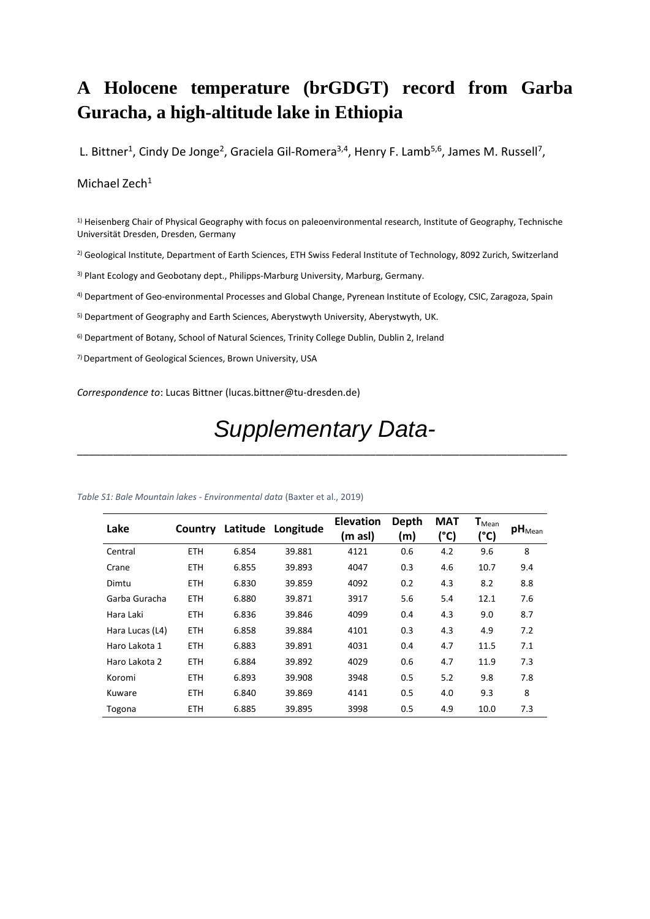## **A Holocene temperature (brGDGT) record from Garba Guracha, a high-altitude lake in Ethiopia**

L. Bittner<sup>1</sup>, Cindy De Jonge<sup>2</sup>, Graciela Gil-Romera<sup>3,4</sup>, Henry F. Lamb<sup>5,6</sup>, James M. Russell<sup>7</sup>,

## Michael Zech<sup>1</sup>

<sup>1)</sup> Heisenberg Chair of Physical Geography with focus on paleoenvironmental research, Institute of Geography, Technische Universität Dresden, Dresden, Germany

2) Geological Institute, Department of Earth Sciences, ETH Swiss Federal Institute of Technology, 8092 Zurich, Switzerland

<sup>3)</sup> Plant Ecology and Geobotany dept., Philipps-Marburg University, Marburg, Germany.

4) Department of Geo-environmental Processes and Global Change, Pyrenean Institute of Ecology, CSIC, Zaragoza, Spain

<sup>5)</sup> Department of Geography and Earth Sciences, Aberystwyth University, Aberystwyth, UK.

6) Department of Botany, School of Natural Sciences, Trinity College Dublin, Dublin 2, Ireland

7) Department of Geological Sciences, Brown University, USA

*Correspondence to*: Lucas Bittner (lucas.bittner@tu-dresden.de)

## *Supplementary Data-*

\_\_\_\_\_\_\_\_\_\_\_\_\_\_\_\_\_\_\_\_\_\_\_\_\_\_\_\_\_\_\_\_\_\_\_\_\_\_\_\_\_\_\_\_\_\_\_\_\_\_\_\_\_\_\_\_\_\_\_\_\_\_\_\_\_\_\_\_\_\_\_\_\_\_\_\_\_\_\_\_\_\_

| Lake            | Country    |       | Latitude Longitude | <b>Elevation</b><br>(m asl) | Depth<br>(m) | <b>MAT</b><br>(°C) | $\mathsf{T}_{\mathsf{Mean}}$<br>(°C) | $pH_{Mean}$ |
|-----------------|------------|-------|--------------------|-----------------------------|--------------|--------------------|--------------------------------------|-------------|
| Central         | <b>ETH</b> | 6.854 | 39.881             | 4121                        | 0.6          | 4.2                | 9.6                                  | 8           |
| Crane           | <b>ETH</b> | 6.855 | 39.893             | 4047                        | 0.3          | 4.6                | 10.7                                 | 9.4         |
| Dimtu           | ETH.       | 6.830 | 39.859             | 4092                        | 0.2          | 4.3                | 8.2                                  | 8.8         |
| Garba Guracha   | <b>ETH</b> | 6.880 | 39.871             | 3917                        | 5.6          | 5.4                | 12.1                                 | 7.6         |
| Hara Laki       | <b>ETH</b> | 6.836 | 39.846             | 4099                        | 0.4          | 4.3                | 9.0                                  | 8.7         |
| Hara Lucas (L4) | ETH.       | 6.858 | 39.884             | 4101                        | 0.3          | 4.3                | 4.9                                  | 7.2         |
| Haro Lakota 1   | ETH.       | 6.883 | 39.891             | 4031                        | 0.4          | 4.7                | 11.5                                 | 7.1         |
| Haro Lakota 2   | ETH.       | 6.884 | 39.892             | 4029                        | 0.6          | 4.7                | 11.9                                 | 7.3         |
| Koromi          | ETH.       | 6.893 | 39.908             | 3948                        | 0.5          | 5.2                | 9.8                                  | 7.8         |
| Kuware          | ETH.       | 6.840 | 39.869             | 4141                        | 0.5          | 4.0                | 9.3                                  | 8           |

Togona ETH 6.885 39.895 3998 0.5 4.9 10.0 7.3

## *Table S1: Bale Mountain lakes - Environmental data* (Baxter et al., 2019)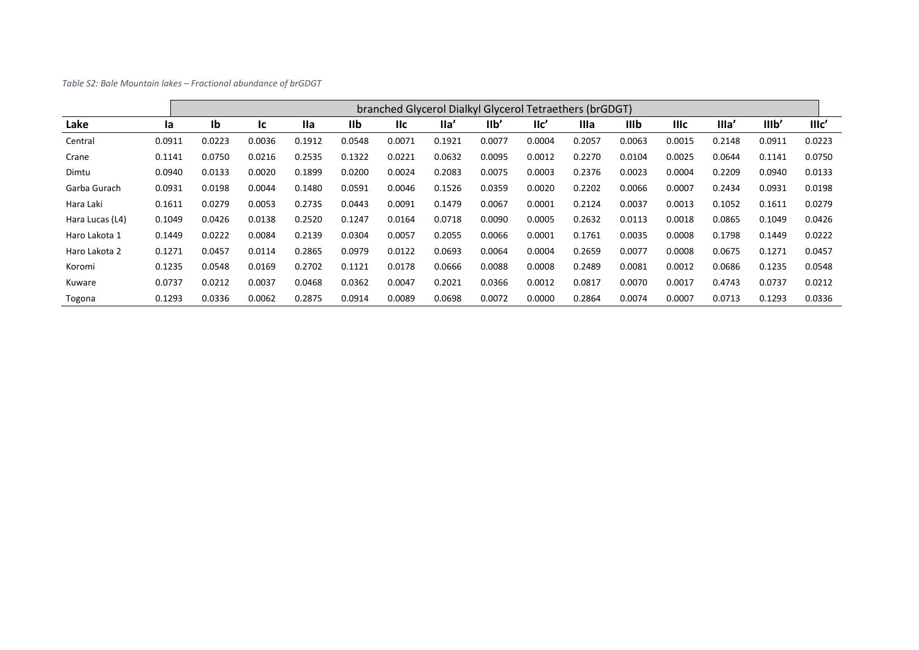*Table S2: Bale Mountain lakes – Fractional abundance of brGDGT*

|                 |        | branched Glycerol Dialkyl Glycerol Tetraethers (brGDGT) |        |            |        |            |        |                |                 |        |        |             |        |        |                  |
|-----------------|--------|---------------------------------------------------------|--------|------------|--------|------------|--------|----------------|-----------------|--------|--------|-------------|--------|--------|------------------|
| Lake            | la     | Ib                                                      | lc     | <b>Ila</b> | IIb    | <b>IIc</b> | $I$ la | I <sub>1</sub> | $\mathsf{IIc}'$ | Illa   | IIIb   | <b>IIIc</b> | Illa'  | IIIb'  | III <sub>c</sub> |
| Central         | 0.0911 | 0.0223                                                  | 0.0036 | 0.1912     | 0.0548 | 0.0071     | 0.1921 | 0.0077         | 0.0004          | 0.2057 | 0.0063 | 0.0015      | 0.2148 | 0.0911 | 0.0223           |
| Crane           | 0.1141 | 0.0750                                                  | 0.0216 | 0.2535     | 0.1322 | 0.0221     | 0.0632 | 0.0095         | 0.0012          | 0.2270 | 0.0104 | 0.0025      | 0.0644 | 0.1141 | 0.0750           |
| Dimtu           | 0.0940 | 0.0133                                                  | 0.0020 | 0.1899     | 0.0200 | 0.0024     | 0.2083 | 0.0075         | 0.0003          | 0.2376 | 0.0023 | 0.0004      | 0.2209 | 0.0940 | 0.0133           |
| Garba Gurach    | 0.0931 | 0.0198                                                  | 0.0044 | 0.1480     | 0.0591 | 0.0046     | 0.1526 | 0.0359         | 0.0020          | 0.2202 | 0.0066 | 0.0007      | 0.2434 | 0.0931 | 0.0198           |
| Hara Laki       | 0.1611 | 0.0279                                                  | 0.0053 | 0.2735     | 0.0443 | 0.0091     | 0.1479 | 0.0067         | 0.0001          | 0.2124 | 0.0037 | 0.0013      | 0.1052 | 0.1611 | 0.0279           |
| Hara Lucas (L4) | 0.1049 | 0.0426                                                  | 0.0138 | 0.2520     | 0.1247 | 0.0164     | 0.0718 | 0.0090         | 0.0005          | 0.2632 | 0.0113 | 0.0018      | 0.0865 | 0.1049 | 0.0426           |
| Haro Lakota 1   | 0.1449 | 0.0222                                                  | 0.0084 | 0.2139     | 0.0304 | 0.0057     | 0.2055 | 0.0066         | 0.0001          | 0.1761 | 0.0035 | 0.0008      | 0.1798 | 0.1449 | 0.0222           |
| Haro Lakota 2   | 0.1271 | 0.0457                                                  | 0.0114 | 0.2865     | 0.0979 | 0.0122     | 0.0693 | 0.0064         | 0.0004          | 0.2659 | 0.0077 | 0.0008      | 0.0675 | 0.1271 | 0.0457           |
| Koromi          | 0.1235 | 0.0548                                                  | 0.0169 | 0.2702     | 0.1121 | 0.0178     | 0.0666 | 0.0088         | 0.0008          | 0.2489 | 0.0081 | 0.0012      | 0.0686 | 0.1235 | 0.0548           |
| Kuware          | 0.0737 | 0.0212                                                  | 0.0037 | 0.0468     | 0.0362 | 0.0047     | 0.2021 | 0.0366         | 0.0012          | 0.0817 | 0.0070 | 0.0017      | 0.4743 | 0.0737 | 0.0212           |
| Togona          | 0.1293 | 0.0336                                                  | 0.0062 | 0.2875     | 0.0914 | 0.0089     | 0.0698 | 0.0072         | 0.0000          | 0.2864 | 0.0074 | 0.0007      | 0.0713 | 0.1293 | 0.0336           |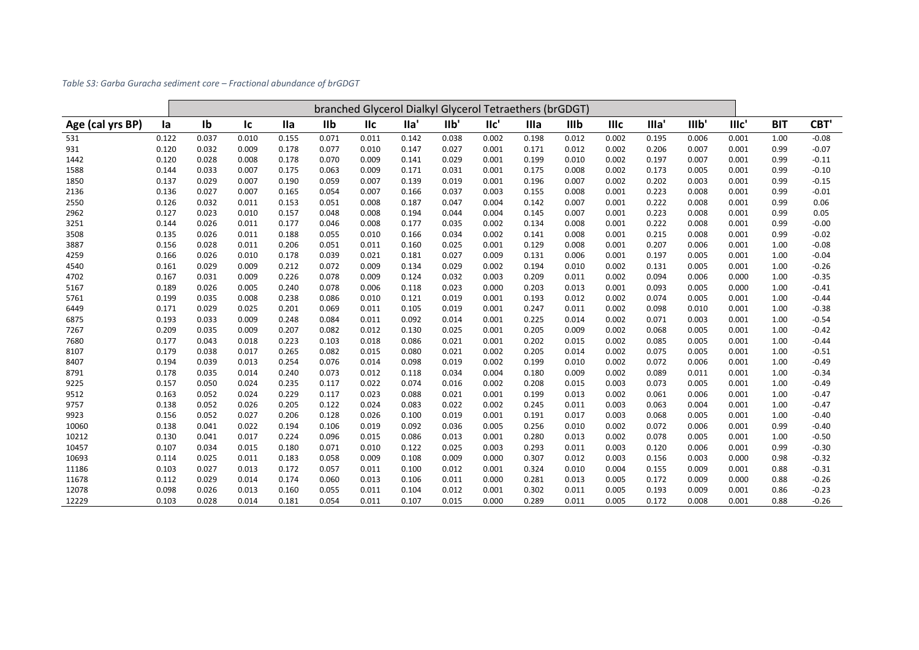| Table S3: Garba Guracha sediment core – Fractional abundance of brGDGT |  |
|------------------------------------------------------------------------|--|
|                                                                        |  |

|                  |       | branched Glycerol Dialkyl Glycerol Tetraethers (brGDGT) |       |            |       |            |       |       |       |       |       |             |       |       |       |            |         |
|------------------|-------|---------------------------------------------------------|-------|------------|-------|------------|-------|-------|-------|-------|-------|-------------|-------|-------|-------|------------|---------|
| Age (cal yrs BP) | la    | Ib                                                      | Ic    | <b>Ila</b> | IIb   | <b>IIc</b> | lla'  | I1b'  | llc'  | Illa  | IIIb  | <b>IIIc</b> | Illa' | llib' | IIIc' | <b>BIT</b> | CBT'    |
| 531              | 0.122 | 0.037                                                   | 0.010 | 0.155      | 0.071 | 0.011      | 0.142 | 0.038 | 0.002 | 0.198 | 0.012 | 0.002       | 0.195 | 0.006 | 0.001 | 1.00       | $-0.08$ |
| 931              | 0.120 | 0.032                                                   | 0.009 | 0.178      | 0.077 | 0.010      | 0.147 | 0.027 | 0.001 | 0.171 | 0.012 | 0.002       | 0.206 | 0.007 | 0.001 | 0.99       | $-0.07$ |
| 1442             | 0.120 | 0.028                                                   | 0.008 | 0.178      | 0.070 | 0.009      | 0.141 | 0.029 | 0.001 | 0.199 | 0.010 | 0.002       | 0.197 | 0.007 | 0.001 | 0.99       | $-0.11$ |
| 1588             | 0.144 | 0.033                                                   | 0.007 | 0.175      | 0.063 | 0.009      | 0.171 | 0.031 | 0.001 | 0.175 | 0.008 | 0.002       | 0.173 | 0.005 | 0.001 | 0.99       | $-0.10$ |
| 1850             | 0.137 | 0.029                                                   | 0.007 | 0.190      | 0.059 | 0.007      | 0.139 | 0.019 | 0.001 | 0.196 | 0.007 | 0.002       | 0.202 | 0.003 | 0.001 | 0.99       | $-0.15$ |
| 2136             | 0.136 | 0.027                                                   | 0.007 | 0.165      | 0.054 | 0.007      | 0.166 | 0.037 | 0.003 | 0.155 | 0.008 | 0.001       | 0.223 | 0.008 | 0.001 | 0.99       | $-0.01$ |
| 2550             | 0.126 | 0.032                                                   | 0.011 | 0.153      | 0.051 | 0.008      | 0.187 | 0.047 | 0.004 | 0.142 | 0.007 | 0.001       | 0.222 | 0.008 | 0.001 | 0.99       | 0.06    |
| 2962             | 0.127 | 0.023                                                   | 0.010 | 0.157      | 0.048 | 0.008      | 0.194 | 0.044 | 0.004 | 0.145 | 0.007 | 0.001       | 0.223 | 0.008 | 0.001 | 0.99       | 0.05    |
| 3251             | 0.144 | 0.026                                                   | 0.011 | 0.177      | 0.046 | 0.008      | 0.177 | 0.035 | 0.002 | 0.134 | 0.008 | 0.001       | 0.222 | 0.008 | 0.001 | 0.99       | $-0.00$ |
| 3508             | 0.135 | 0.026                                                   | 0.011 | 0.188      | 0.055 | 0.010      | 0.166 | 0.034 | 0.002 | 0.141 | 0.008 | 0.001       | 0.215 | 0.008 | 0.001 | 0.99       | $-0.02$ |
| 3887             | 0.156 | 0.028                                                   | 0.011 | 0.206      | 0.051 | 0.011      | 0.160 | 0.025 | 0.001 | 0.129 | 0.008 | 0.001       | 0.207 | 0.006 | 0.001 | 1.00       | $-0.08$ |
| 4259             | 0.166 | 0.026                                                   | 0.010 | 0.178      | 0.039 | 0.021      | 0.181 | 0.027 | 0.009 | 0.131 | 0.006 | 0.001       | 0.197 | 0.005 | 0.001 | 1.00       | $-0.04$ |
| 4540             | 0.161 | 0.029                                                   | 0.009 | 0.212      | 0.072 | 0.009      | 0.134 | 0.029 | 0.002 | 0.194 | 0.010 | 0.002       | 0.131 | 0.005 | 0.001 | 1.00       | $-0.26$ |
| 4702             | 0.167 | 0.031                                                   | 0.009 | 0.226      | 0.078 | 0.009      | 0.124 | 0.032 | 0.003 | 0.209 | 0.011 | 0.002       | 0.094 | 0.006 | 0.000 | 1.00       | $-0.35$ |
| 5167             | 0.189 | 0.026                                                   | 0.005 | 0.240      | 0.078 | 0.006      | 0.118 | 0.023 | 0.000 | 0.203 | 0.013 | 0.001       | 0.093 | 0.005 | 0.000 | 1.00       | $-0.41$ |
| 5761             | 0.199 | 0.035                                                   | 0.008 | 0.238      | 0.086 | 0.010      | 0.121 | 0.019 | 0.001 | 0.193 | 0.012 | 0.002       | 0.074 | 0.005 | 0.001 | 1.00       | $-0.44$ |
| 6449             | 0.171 | 0.029                                                   | 0.025 | 0.201      | 0.069 | 0.011      | 0.105 | 0.019 | 0.001 | 0.247 | 0.011 | 0.002       | 0.098 | 0.010 | 0.001 | 1.00       | $-0.38$ |
| 6875             | 0.193 | 0.033                                                   | 0.009 | 0.248      | 0.084 | 0.011      | 0.092 | 0.014 | 0.001 | 0.225 | 0.014 | 0.002       | 0.071 | 0.003 | 0.001 | 1.00       | $-0.54$ |
| 7267             | 0.209 | 0.035                                                   | 0.009 | 0.207      | 0.082 | 0.012      | 0.130 | 0.025 | 0.001 | 0.205 | 0.009 | 0.002       | 0.068 | 0.005 | 0.001 | 1.00       | $-0.42$ |
| 7680             | 0.177 | 0.043                                                   | 0.018 | 0.223      | 0.103 | 0.018      | 0.086 | 0.021 | 0.001 | 0.202 | 0.015 | 0.002       | 0.085 | 0.005 | 0.001 | 1.00       | $-0.44$ |
| 8107             | 0.179 | 0.038                                                   | 0.017 | 0.265      | 0.082 | 0.015      | 0.080 | 0.021 | 0.002 | 0.205 | 0.014 | 0.002       | 0.075 | 0.005 | 0.001 | 1.00       | $-0.51$ |
| 8407             | 0.194 | 0.039                                                   | 0.013 | 0.254      | 0.076 | 0.014      | 0.098 | 0.019 | 0.002 | 0.199 | 0.010 | 0.002       | 0.072 | 0.006 | 0.001 | 1.00       | $-0.49$ |
| 8791             | 0.178 | 0.035                                                   | 0.014 | 0.240      | 0.073 | 0.012      | 0.118 | 0.034 | 0.004 | 0.180 | 0.009 | 0.002       | 0.089 | 0.011 | 0.001 | 1.00       | $-0.34$ |
| 9225             | 0.157 | 0.050                                                   | 0.024 | 0.235      | 0.117 | 0.022      | 0.074 | 0.016 | 0.002 | 0.208 | 0.015 | 0.003       | 0.073 | 0.005 | 0.001 | 1.00       | $-0.49$ |
| 9512             | 0.163 | 0.052                                                   | 0.024 | 0.229      | 0.117 | 0.023      | 0.088 | 0.021 | 0.001 | 0.199 | 0.013 | 0.002       | 0.061 | 0.006 | 0.001 | 1.00       | $-0.47$ |
| 9757             | 0.138 | 0.052                                                   | 0.026 | 0.205      | 0.122 | 0.024      | 0.083 | 0.022 | 0.002 | 0.245 | 0.011 | 0.003       | 0.063 | 0.004 | 0.001 | 1.00       | $-0.47$ |
| 9923             | 0.156 | 0.052                                                   | 0.027 | 0.206      | 0.128 | 0.026      | 0.100 | 0.019 | 0.001 | 0.191 | 0.017 | 0.003       | 0.068 | 0.005 | 0.001 | 1.00       | $-0.40$ |
| 10060            | 0.138 | 0.041                                                   | 0.022 | 0.194      | 0.106 | 0.019      | 0.092 | 0.036 | 0.005 | 0.256 | 0.010 | 0.002       | 0.072 | 0.006 | 0.001 | 0.99       | $-0.40$ |
| 10212            | 0.130 | 0.041                                                   | 0.017 | 0.224      | 0.096 | 0.015      | 0.086 | 0.013 | 0.001 | 0.280 | 0.013 | 0.002       | 0.078 | 0.005 | 0.001 | 1.00       | $-0.50$ |
| 10457            | 0.107 | 0.034                                                   | 0.015 | 0.180      | 0.071 | 0.010      | 0.122 | 0.025 | 0.003 | 0.293 | 0.011 | 0.003       | 0.120 | 0.006 | 0.001 | 0.99       | $-0.30$ |
| 10693            | 0.114 | 0.025                                                   | 0.011 | 0.183      | 0.058 | 0.009      | 0.108 | 0.009 | 0.000 | 0.307 | 0.012 | 0.003       | 0.156 | 0.003 | 0.000 | 0.98       | $-0.32$ |
| 11186            | 0.103 | 0.027                                                   | 0.013 | 0.172      | 0.057 | 0.011      | 0.100 | 0.012 | 0.001 | 0.324 | 0.010 | 0.004       | 0.155 | 0.009 | 0.001 | 0.88       | $-0.31$ |
| 11678            | 0.112 | 0.029                                                   | 0.014 | 0.174      | 0.060 | 0.013      | 0.106 | 0.011 | 0.000 | 0.281 | 0.013 | 0.005       | 0.172 | 0.009 | 0.000 | 0.88       | $-0.26$ |
| 12078            | 0.098 | 0.026                                                   | 0.013 | 0.160      | 0.055 | 0.011      | 0.104 | 0.012 | 0.001 | 0.302 | 0.011 | 0.005       | 0.193 | 0.009 | 0.001 | 0.86       | $-0.23$ |
| 12229            | 0.103 | 0.028                                                   | 0.014 | 0.181      | 0.054 | 0.011      | 0.107 | 0.015 | 0.000 | 0.289 | 0.011 | 0.005       | 0.172 | 0.008 | 0.001 | 0.88       | $-0.26$ |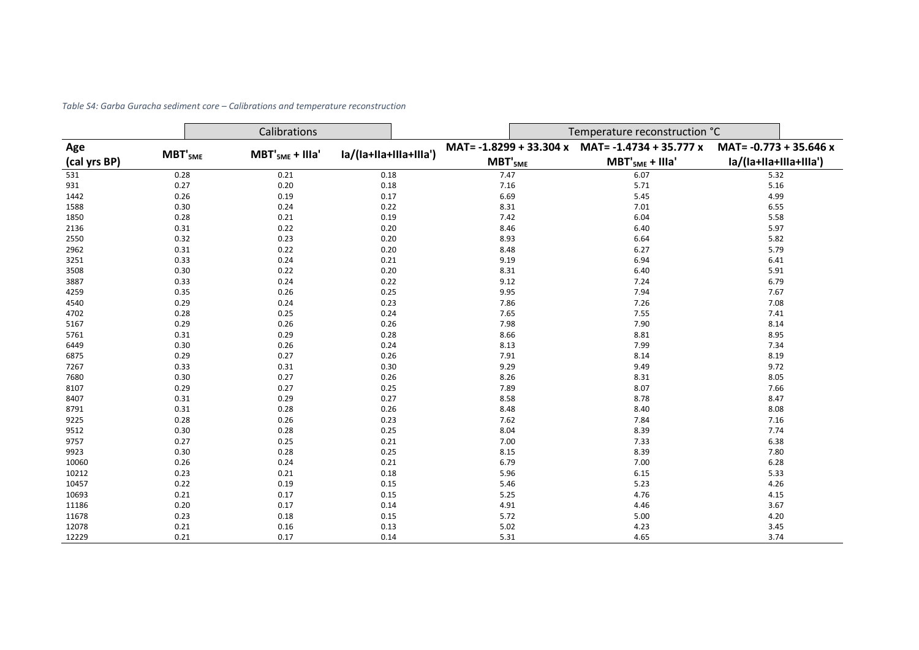|              |                                             | Calibrations |                        |                              | Temperature reconstruction °C |                        |  |  |  |
|--------------|---------------------------------------------|--------------|------------------------|------------------------------|-------------------------------|------------------------|--|--|--|
|              | Age<br>$MBT'_{5ME}$<br>$MBT'_{5ME} + IIIa'$ |              |                        | MAT= -1.8299 + 33.304 x      | MAT= -1.4734 + 35.777 x       | MAT= -0.773 + 35.646 x |  |  |  |
| (cal yrs BP) |                                             |              | la/(la+lla+llla+llla') | $\mathbf{MBT'}_{5\text{ME}}$ | $MBT'_{5ME} + IIIa'$          | la/(la+lla+llla+llla') |  |  |  |
| 531          | 0.28                                        | 0.21         | 0.18                   | 7.47                         | 6.07                          | 5.32                   |  |  |  |
| 931          | 0.27                                        | 0.20         | 0.18                   | 7.16                         | 5.71                          | 5.16                   |  |  |  |
| 1442         | 0.26                                        | 0.19         | 0.17                   | 6.69                         | 5.45                          | 4.99                   |  |  |  |
| 1588         | 0.30                                        | 0.24         | 0.22                   | 8.31                         | 7.01                          | 6.55                   |  |  |  |
| 1850         | 0.28                                        | 0.21         | 0.19                   | 7.42                         | 6.04                          | 5.58                   |  |  |  |
| 2136         | 0.31                                        | 0.22         | 0.20                   | 8.46                         | 6.40                          | 5.97                   |  |  |  |
| 2550         | 0.32                                        | 0.23         | 0.20                   | 8.93                         | 6.64                          | 5.82                   |  |  |  |
| 2962         | 0.31                                        | 0.22         | 0.20                   | 8.48                         | 6.27                          | 5.79                   |  |  |  |
| 3251         | 0.33                                        | 0.24         | 0.21                   | 9.19                         | 6.94                          | 6.41                   |  |  |  |
| 3508         | 0.30                                        | 0.22         | 0.20                   | 8.31                         | 6.40                          | 5.91                   |  |  |  |
| 3887         | 0.33                                        | 0.24         | 0.22                   | 9.12                         | 7.24                          | 6.79                   |  |  |  |
| 4259         | 0.35                                        | 0.26         | 0.25                   | 9.95                         | 7.94                          | 7.67                   |  |  |  |
| 4540         | 0.29                                        | 0.24         | 0.23                   | 7.86                         | 7.26                          | 7.08                   |  |  |  |
| 4702         | 0.28                                        | 0.25         | 0.24                   | 7.65                         | 7.55                          | 7.41                   |  |  |  |
| 5167         | 0.29                                        | 0.26         | 0.26                   | 7.98                         | 7.90                          | 8.14                   |  |  |  |
| 5761         | 0.31                                        | 0.29         | 0.28                   | 8.66                         | 8.81                          | 8.95                   |  |  |  |
| 6449         | 0.30                                        | 0.26         | 0.24                   | 8.13                         | 7.99                          | 7.34                   |  |  |  |
| 6875         | 0.29                                        | 0.27         | 0.26                   | 7.91                         | 8.14                          | 8.19                   |  |  |  |
| 7267         | 0.33                                        | 0.31         | 0.30                   | 9.29                         | 9.49                          | 9.72                   |  |  |  |
| 7680         | 0.30                                        | 0.27         | 0.26                   | 8.26                         | 8.31                          | 8.05                   |  |  |  |
| 8107         | 0.29                                        | 0.27         | 0.25                   | 7.89                         | 8.07                          | 7.66                   |  |  |  |
| 8407         | 0.31                                        | 0.29         | 0.27                   | 8.58                         | 8.78                          | 8.47                   |  |  |  |
| 8791         | 0.31                                        | 0.28         | 0.26                   | 8.48                         | 8.40                          | 8.08                   |  |  |  |
| 9225         | 0.28                                        | 0.26         | 0.23                   | 7.62                         | 7.84                          | 7.16                   |  |  |  |
| 9512         | 0.30                                        | 0.28         | 0.25                   | 8.04                         | 8.39                          | 7.74                   |  |  |  |
| 9757         | 0.27                                        | 0.25         | 0.21                   | 7.00                         | 7.33                          | 6.38                   |  |  |  |
| 9923         | 0.30                                        | 0.28         | 0.25                   | 8.15                         | 8.39                          | 7.80                   |  |  |  |
| 10060        | 0.26                                        | 0.24         | 0.21                   | 6.79                         | 7.00                          | 6.28                   |  |  |  |
| 10212        | 0.23                                        | 0.21         | 0.18                   | 5.96                         | 6.15                          | 5.33                   |  |  |  |
| 10457        | 0.22                                        | 0.19         | 0.15                   | 5.46                         | 5.23                          | 4.26                   |  |  |  |
| 10693        | 0.21                                        | 0.17         | 0.15                   | 5.25                         | 4.76                          | 4.15                   |  |  |  |
| 11186        | 0.20                                        | 0.17         | 0.14                   | 4.91                         | 4.46                          | 3.67                   |  |  |  |
| 11678        | 0.23                                        | 0.18         | 0.15                   | 5.72                         | 5.00                          | 4.20                   |  |  |  |
| 12078        | 0.21                                        | 0.16         | 0.13                   | 5.02                         | 4.23                          | 3.45                   |  |  |  |
| 12229        | 0.21                                        | 0.17         | 0.14                   | 5.31                         | 4.65                          | 3.74                   |  |  |  |

*Table S4: Garba Guracha sediment core – Calibrations and temperature reconstruction*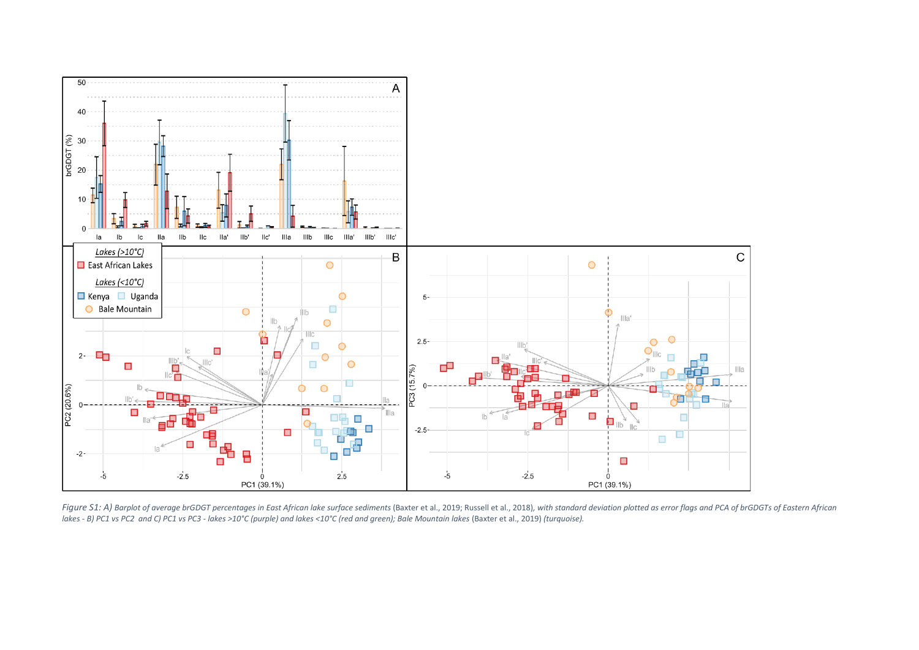

Figure S1: A) Barplot of average brGDGT percentages in East African lake surface sediments (Baxter et al., 2019; Russell et al., 2018), with standard deviation plotted as error flags and PCA of brGDGTs of Eastern African *lakes - B) PC1 vs PC2 and C) PC1 vs PC3 - lakes >10°C (purple) and lakes <10°C (red and green); Bale Mountain lakes* (Baxter et al., 2019) *(turquoise).*